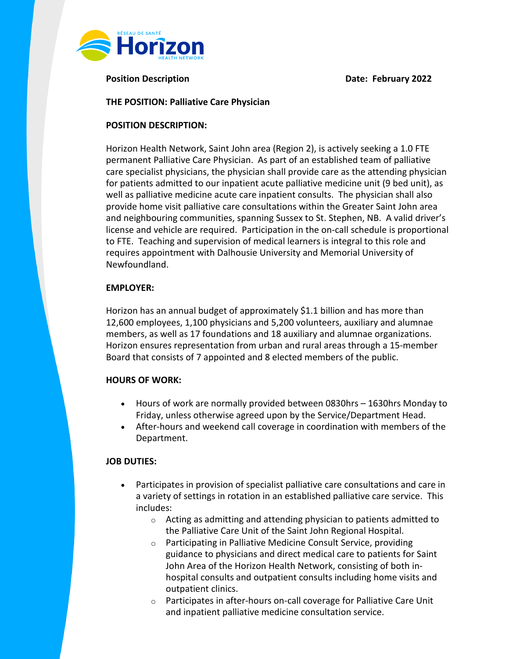

**Position Description Date: February 2022**

## **THE POSITION: Palliative Care Physician**

## **POSITION DESCRIPTION:**

Horizon Health Network, Saint John area (Region 2), is actively seeking a 1.0 FTE permanent Palliative Care Physician. As part of an established team of palliative care specialist physicians, the physician shall provide care as the attending physician for patients admitted to our inpatient acute palliative medicine unit (9 bed unit), as well as palliative medicine acute care inpatient consults. The physician shall also provide home visit palliative care consultations within the Greater Saint John area and neighbouring communities, spanning Sussex to St. Stephen, NB. A valid driver's license and vehicle are required. Participation in the on-call schedule is proportional to FTE. Teaching and supervision of medical learners is integral to this role and requires appointment with Dalhousie University and Memorial University of Newfoundland.

## **EMPLOYER:**

Horizon has an annual budget of approximately \$1.1 billion and has more than 12,600 employees, 1,100 physicians and 5,200 volunteers, auxiliary and alumnae members, as well as 17 foundations and 18 auxiliary and alumnae organizations. Horizon ensures representation from urban and rural areas through a 15-member Board that consists of 7 appointed and 8 elected members of the public.

#### **HOURS OF WORK:**

- Hours of work are normally provided between 0830hrs 1630hrs Monday to Friday, unless otherwise agreed upon by the Service/Department Head.
- After-hours and weekend call coverage in coordination with members of the Department.

#### **JOB DUTIES:**

- Participates in provision of specialist palliative care consultations and care in a variety of settings in rotation in an established palliative care service. This includes:
	- $\circ$  Acting as admitting and attending physician to patients admitted to the Palliative Care Unit of the Saint John Regional Hospital.
	- o Participating in Palliative Medicine Consult Service, providing guidance to physicians and direct medical care to patients for Saint John Area of the Horizon Health Network, consisting of both inhospital consults and outpatient consults including home visits and outpatient clinics.
	- o Participates in after-hours on-call coverage for Palliative Care Unit and inpatient palliative medicine consultation service.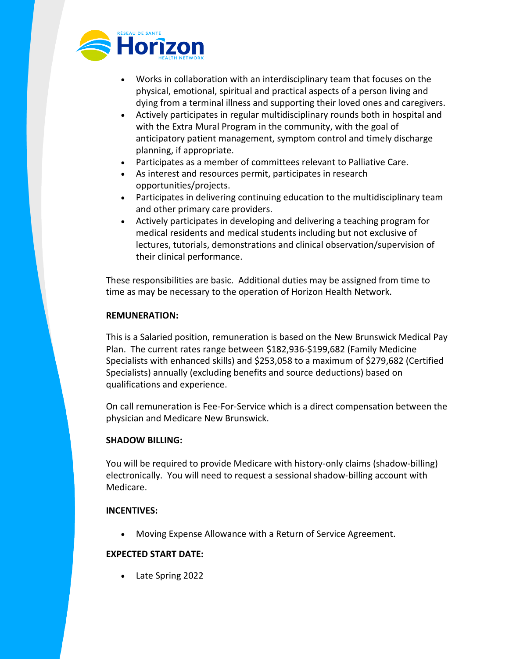

- Works in collaboration with an interdisciplinary team that focuses on the physical, emotional, spiritual and practical aspects of a person living and dying from a terminal illness and supporting their loved ones and caregivers.
- Actively participates in regular multidisciplinary rounds both in hospital and with the Extra Mural Program in the community, with the goal of anticipatory patient management, symptom control and timely discharge planning, if appropriate.
- Participates as a member of committees relevant to Palliative Care.
- As interest and resources permit, participates in research opportunities/projects.
- Participates in delivering continuing education to the multidisciplinary team and other primary care providers.
- Actively participates in developing and delivering a teaching program for medical residents and medical students including but not exclusive of lectures, tutorials, demonstrations and clinical observation/supervision of their clinical performance.

These responsibilities are basic. Additional duties may be assigned from time to time as may be necessary to the operation of Horizon Health Network.

# **REMUNERATION:**

This is a Salaried position, remuneration is based on the New Brunswick Medical Pay Plan. The current rates range between \$182,936-\$199,682 (Family Medicine Specialists with enhanced skills) and \$253,058 to a maximum of \$279,682 (Certified Specialists) annually (excluding benefits and source deductions) based on qualifications and experience.

On call remuneration is Fee-For-Service which is a direct compensation between the physician and Medicare New Brunswick.

# **SHADOW BILLING:**

You will be required to provide Medicare with history-only claims (shadow-billing) electronically. You will need to request a sessional shadow-billing account with Medicare.

# **INCENTIVES:**

• Moving Expense Allowance with a Return of Service Agreement.

# **EXPECTED START DATE:**

• Late Spring 2022